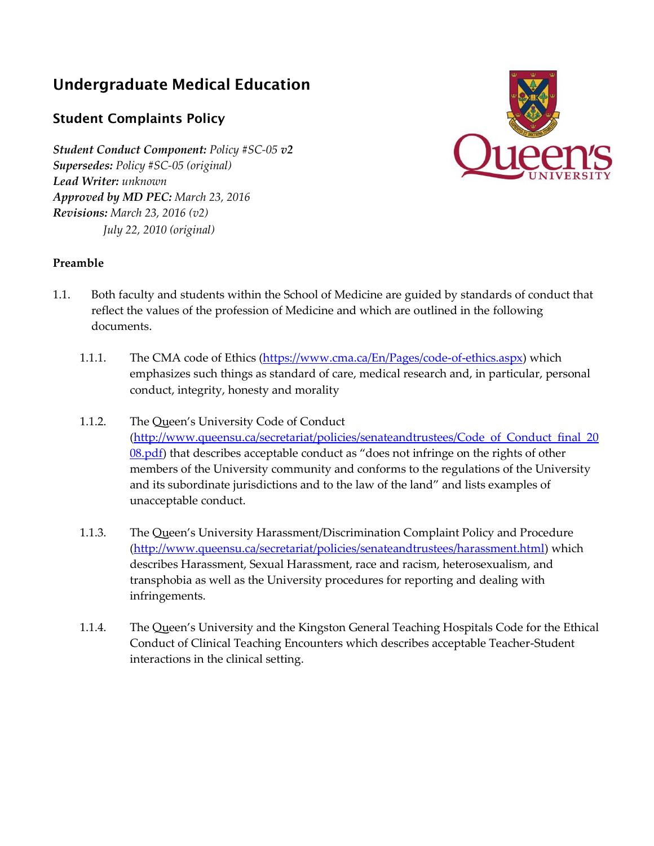# **Undergraduate Medical Education**

## **Student Complaints Policy**

*Student Conduct Component: Policy #SC-05 v2 Supersedes: Policy #SC-05 (original) Lead Writer: unknown Approved by MD PEC: March 23, 2016 Revisions: March 23, 2016 (v2) July 22, 2010 (original)*



### **Preamble**

- 1.1. Both faculty and students within the School of Medicine are guided by standards of conduct that reflect the values of the profession of Medicine and which are outlined in the following documents.
	- 1.1.1. The CMA code of Ethics [\(https://www.cma.ca/En/Pages/code-of-ethics.aspx\)](https://www.cma.ca/En/Pages/code-of-ethics.aspx) which emphasizes such things as standard of care, medical research and, in particular, personal conduct, integrity, honesty and morality
	- 1.1.2. The Queen's University Code of Conduct (http://www.queensu.ca/secretariat/policies/senateandtrustees/Code of Conduct final 20 [08.pdf\)](http://www.queensu.ca/secretariat/policies/senateandtrustees/Code_of_Conduct_final_2008.pdf) that describes acceptable conduct as "does not infringe on the rights of other members of the University community and conforms to the regulations of the University and its subordinate jurisdictions and to the law of the land" and lists examples of unacceptable conduct.
	- 1.1.3. The Queen's University Harassment/Discrimination Complaint Policy and Procedure [\(http://www.queensu.ca/secretariat/policies/senateandtrustees/harassment.html\)](http://www.queensu.ca/secretariat/policies/senateandtrustees/harassment.html) which describes Harassment, Sexual Harassment, race and racism, heterosexualism, and transphobia as well as the University procedures for reporting and dealing with infringements.
	- 1.1.4. The Queen's University and the Kingston General Teaching Hospitals Code for the Ethical Conduct of Clinical Teaching Encounters which describes acceptable Teacher-Student interactions in the clinical setting.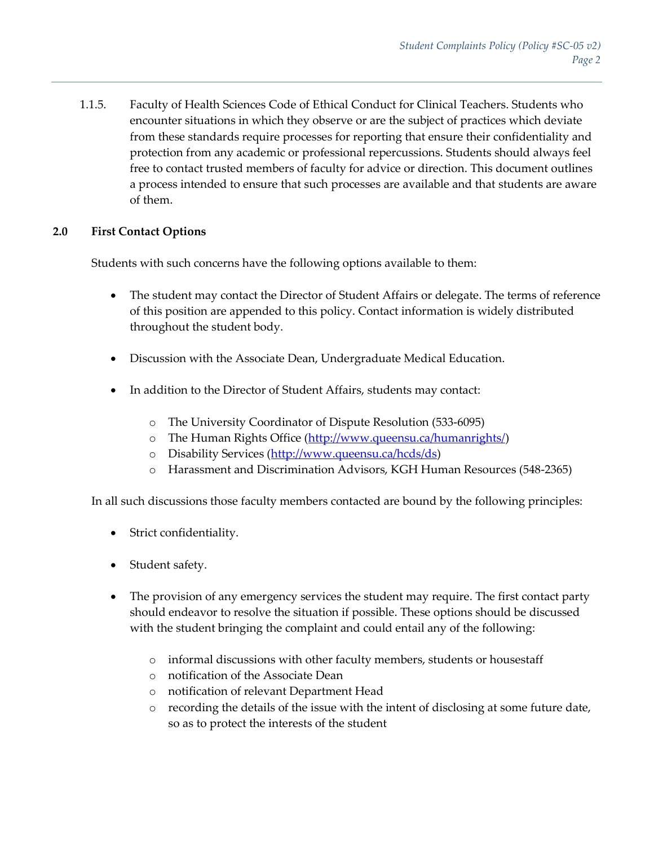1.1.5. Faculty of Health Sciences Code of Ethical Conduct for Clinical Teachers. Students who encounter situations in which they observe or are the subject of practices which deviate from these standards require processes for reporting that ensure their confidentiality and protection from any academic or professional repercussions. Students should always feel free to contact trusted members of faculty for advice or direction. This document outlines a process intended to ensure that such processes are available and that students are aware of them.

### **2.0 First Contact Options**

Students with such concerns have the following options available to them:

- The student may contact the Director of Student Affairs or delegate. The terms of reference of this position are appended to this policy. Contact information is widely distributed throughout the student body.
- Discussion with the Associate Dean, Undergraduate Medical Education.
- In addition to the Director of Student Affairs, students may contact:
	- o The University Coordinator of Dispute Resolution (533-6095)
	- o The Human Rights Office [\(http://www.queensu.ca/humanrights/\)](http://www.queensu.ca/humanrights/)
	- o Disability Services [\(http://www.queensu.ca/hcds/ds\)](http://www.queensu.ca/hcds/ds)
	- o Harassment and Discrimination Advisors, KGH Human Resources (548-2365)

In all such discussions those faculty members contacted are bound by the following principles:

- Strict confidentiality.
- Student safety.
- The provision of any emergency services the student may require. The first contact party should endeavor to resolve the situation if possible. These options should be discussed with the student bringing the complaint and could entail any of the following:
	- o informal discussions with other faculty members, students or housestaff
	- o notification of the Associate Dean
	- o notification of relevant Department Head
	- o recording the details of the issue with the intent of disclosing at some future date, so as to protect the interests of the student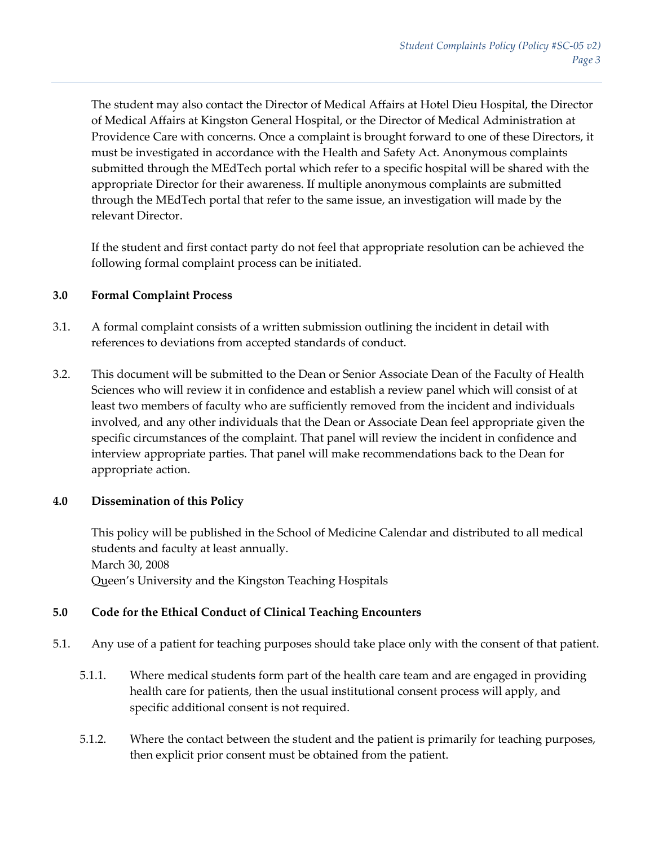The student may also contact the Director of Medical Affairs at Hotel Dieu Hospital, the Director of Medical Affairs at Kingston General Hospital, or the Director of Medical Administration at Providence Care with concerns. Once a complaint is brought forward to one of these Directors, it must be investigated in accordance with the Health and Safety Act. Anonymous complaints submitted through the MEdTech portal which refer to a specific hospital will be shared with the appropriate Director for their awareness. If multiple anonymous complaints are submitted through the MEdTech portal that refer to the same issue, an investigation will made by the relevant Director.

If the student and first contact party do not feel that appropriate resolution can be achieved the following formal complaint process can be initiated.

#### **3.0 Formal Complaint Process**

- 3.1. A formal complaint consists of a written submission outlining the incident in detail with references to deviations from accepted standards of conduct.
- 3.2. This document will be submitted to the Dean or Senior Associate Dean of the Faculty of Health Sciences who will review it in confidence and establish a review panel which will consist of at least two members of faculty who are sufficiently removed from the incident and individuals involved, and any other individuals that the Dean or Associate Dean feel appropriate given the specific circumstances of the complaint. That panel will review the incident in confidence and interview appropriate parties. That panel will make recommendations back to the Dean for appropriate action.

### **4.0 Dissemination of this Policy**

This policy will be published in the School of Medicine Calendar and distributed to all medical students and faculty at least annually. March 30, 2008 Queen's University and the Kingston Teaching Hospitals

### **5.0 Code for the Ethical Conduct of Clinical Teaching Encounters**

- 5.1. Any use of a patient for teaching purposes should take place only with the consent of that patient.
	- 5.1.1. Where medical students form part of the health care team and are engaged in providing health care for patients, then the usual institutional consent process will apply, and specific additional consent is not required.
	- 5.1.2. Where the contact between the student and the patient is primarily for teaching purposes, then explicit prior consent must be obtained from the patient.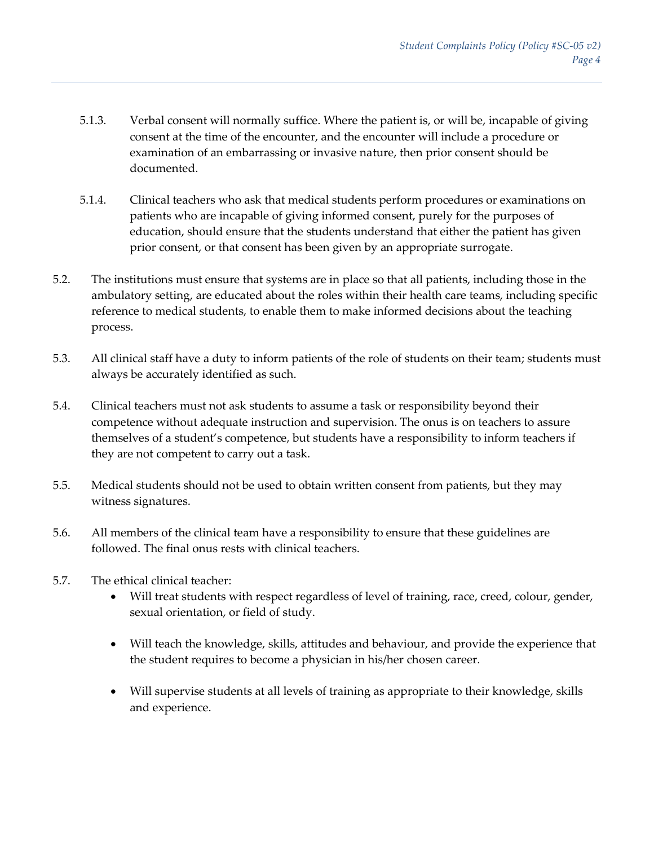- 5.1.3. Verbal consent will normally suffice. Where the patient is, or will be, incapable of giving consent at the time of the encounter, and the encounter will include a procedure or examination of an embarrassing or invasive nature, then prior consent should be documented.
- 5.1.4. Clinical teachers who ask that medical students perform procedures or examinations on patients who are incapable of giving informed consent, purely for the purposes of education, should ensure that the students understand that either the patient has given prior consent, or that consent has been given by an appropriate surrogate.
- 5.2. The institutions must ensure that systems are in place so that all patients, including those in the ambulatory setting, are educated about the roles within their health care teams, including specific reference to medical students, to enable them to make informed decisions about the teaching process.
- 5.3. All clinical staff have a duty to inform patients of the role of students on their team; students must always be accurately identified as such.
- 5.4. Clinical teachers must not ask students to assume a task or responsibility beyond their competence without adequate instruction and supervision. The onus is on teachers to assure themselves of a student's competence, but students have a responsibility to inform teachers if they are not competent to carry out a task.
- 5.5. Medical students should not be used to obtain written consent from patients, but they may witness signatures.
- 5.6. All members of the clinical team have a responsibility to ensure that these guidelines are followed. The final onus rests with clinical teachers.
- 5.7. The ethical clinical teacher:
	- Will treat students with respect regardless of level of training, race, creed, colour, gender, sexual orientation, or field of study.
	- Will teach the knowledge, skills, attitudes and behaviour, and provide the experience that the student requires to become a physician in his/her chosen career.
	- Will supervise students at all levels of training as appropriate to their knowledge, skills and experience.